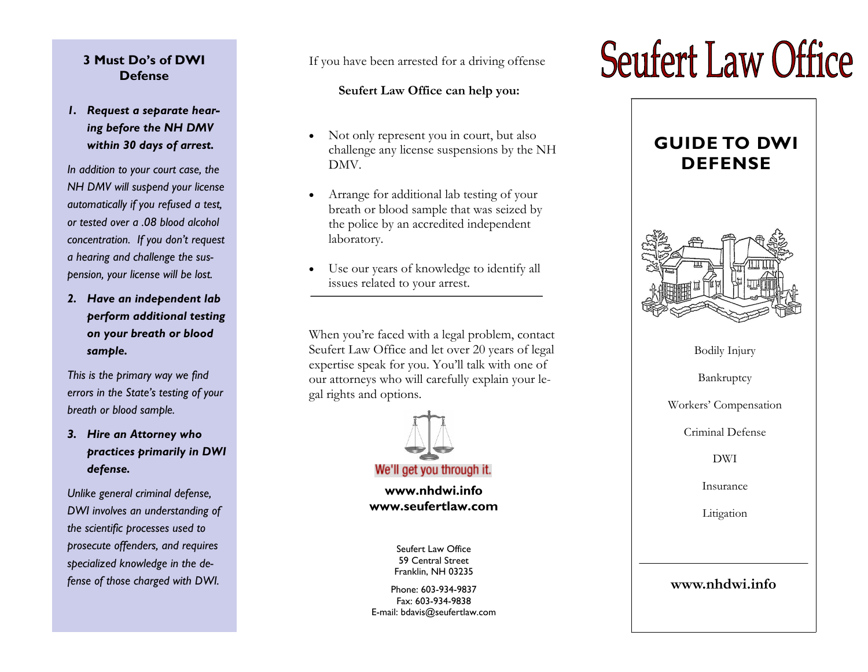## **3 Must Do's of DWI Defense**

# *1. Request a separate hearing before the NH DMV within 30 days of arrest.*

*In addition to your court case, the NH DMV will suspend your license automatically if you refused a test, or tested over a .08 blood alcohol concentration. If you don't request a hearing and challenge the suspension, your license will be lost.* 

*2. Have an independent lab perform additional testing on your breath or blood sample.* 

*This is the primary way we find errors in the State's testing of your breath or blood sample.* 

*3. Hire an Attorney who practices primarily in DWI defense.* 

*Unlike general criminal defense, DWI involves an understanding of the scientific processes used to prosecute offenders, and requires specialized knowledge in the defense of those charged with DWI.* 

If you have been arrested for a driving offense

## **Seufert Law Office can help you:**

- Not only represent you in court, but also challenge any license suspensions by the NH DMV.
- Arrange for additional lab testing of your breath or blood sample that was seized by the police by an accredited independent laboratory.
- Use our years of knowledge to identify all issues related to your arrest.

When you're faced with a legal problem, contact Seufert Law Office and let over 20 years of legal expertise speak for you. You'll talk with one of our attorneys who will carefully explain your legal rights and options.



We'll get you through it.

**www.nhdwi.info www.seufertlaw.com** 

> Seufert Law Office 59 Central Street Franklin, NH 03235

Phone: 603-934-9837 Fax: 603-934-9838 E-mail: bdavis@seufertlaw.com

# **Seufert Law Office**